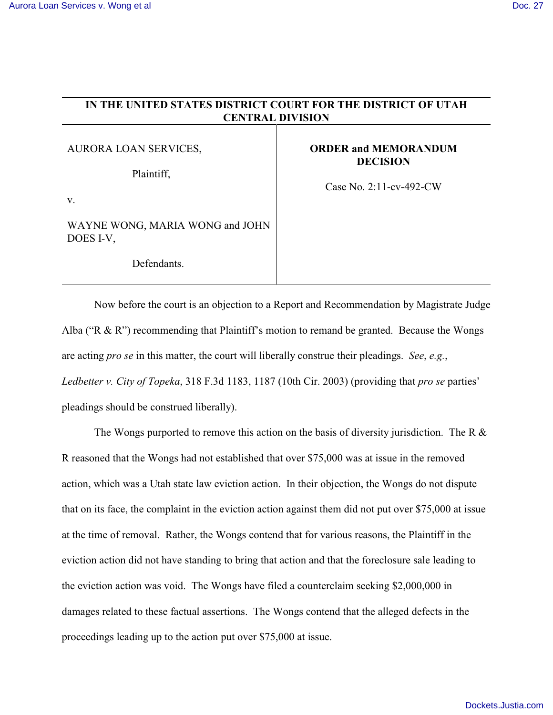## **IN THE UNITED STATES DISTRICT COURT FOR THE DISTRICT OF UTAH CENTRAL DIVISION** AURORA LOAN SERVICES, Plaintiff, **ORDER and MEMORANDUM DECISION**

v.

WAYNE WONG, MARIA WONG and JOHN DOES I-V,

Defendants.

Case No. 2:11-cv-492-CW

Now before the court is an objection to a Report and Recommendation by Magistrate Judge Alba ("R & R") recommending that Plaintiff's motion to remand be granted. Because the Wongs are acting *pro se* in this matter, the court will liberally construe their pleadings. *See*, *e.g.*, *Ledbetter v. City of Topeka*, 318 F.3d 1183, 1187 (10th Cir. 2003) (providing that *pro se* parties' pleadings should be construed liberally).

The Wongs purported to remove this action on the basis of diversity jurisdiction. The R  $\&$ R reasoned that the Wongs had not established that over \$75,000 was at issue in the removed action, which was a Utah state law eviction action. In their objection, the Wongs do not dispute that on its face, the complaint in the eviction action against them did not put over \$75,000 at issue at the time of removal. Rather, the Wongs contend that for various reasons, the Plaintiff in the eviction action did not have standing to bring that action and that the foreclosure sale leading to the eviction action was void. The Wongs have filed a counterclaim seeking \$2,000,000 in damages related to these factual assertions. The Wongs contend that the alleged defects in the proceedings leading up to the action put over \$75,000 at issue.